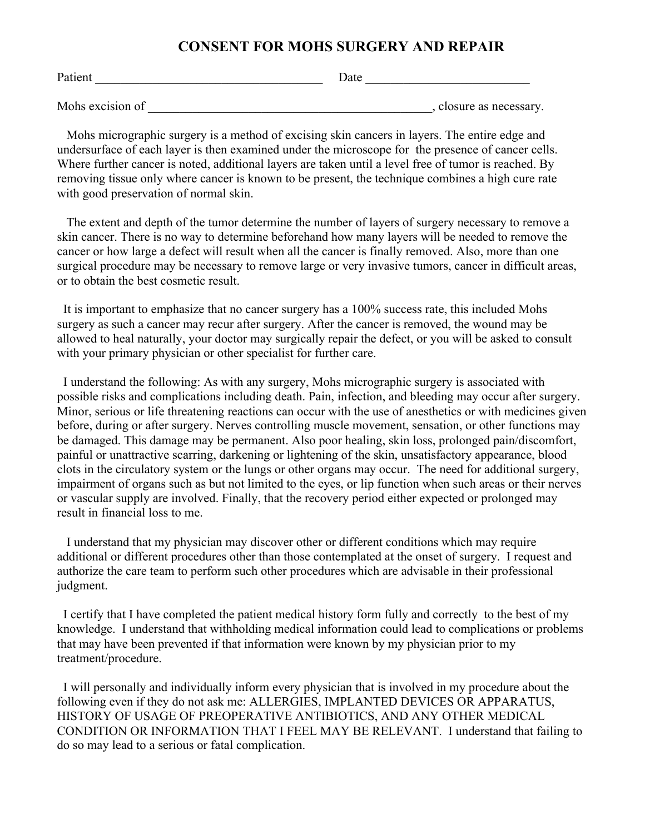## **CONSENT FOR MOHS SURGERY AND REPAIR**

| Patient          | Date |                         |
|------------------|------|-------------------------|
|                  |      |                         |
| Mohs excision of |      | , closure as necessary. |

 Mohs micrographic surgery is a method of excising skin cancers in layers. The entire edge and undersurface of each layer is then examined under the microscope for the presence of cancer cells. Where further cancer is noted, additional layers are taken until a level free of tumor is reached. By removing tissue only where cancer is known to be present, the technique combines a high cure rate with good preservation of normal skin.

 The extent and depth of the tumor determine the number of layers of surgery necessary to remove a skin cancer. There is no way to determine beforehand how many layers will be needed to remove the cancer or how large a defect will result when all the cancer is finally removed. Also, more than one surgical procedure may be necessary to remove large or very invasive tumors, cancer in difficult areas, or to obtain the best cosmetic result.

 It is important to emphasize that no cancer surgery has a 100% success rate, this included Mohs surgery as such a cancer may recur after surgery. After the cancer is removed, the wound may be allowed to heal naturally, your doctor may surgically repair the defect, or you will be asked to consult with your primary physician or other specialist for further care.

 I understand the following: As with any surgery, Mohs micrographic surgery is associated with possible risks and complications including death. Pain, infection, and bleeding may occur after surgery. Minor, serious or life threatening reactions can occur with the use of anesthetics or with medicines given before, during or after surgery. Nerves controlling muscle movement, sensation, or other functions may be damaged. This damage may be permanent. Also poor healing, skin loss, prolonged pain/discomfort, painful or unattractive scarring, darkening or lightening of the skin, unsatisfactory appearance, blood clots in the circulatory system or the lungs or other organs may occur. The need for additional surgery, impairment of organs such as but not limited to the eyes, or lip function when such areas or their nerves or vascular supply are involved. Finally, that the recovery period either expected or prolonged may result in financial loss to me.

 I understand that my physician may discover other or different conditions which may require additional or different procedures other than those contemplated at the onset of surgery. I request and authorize the care team to perform such other procedures which are advisable in their professional judgment.

 I certify that I have completed the patient medical history form fully and correctly to the best of my knowledge. I understand that withholding medical information could lead to complications or problems that may have been prevented if that information were known by my physician prior to my treatment/procedure.

 I will personally and individually inform every physician that is involved in my procedure about the following even if they do not ask me: ALLERGIES, IMPLANTED DEVICES OR APPARATUS, HISTORY OF USAGE OF PREOPERATIVE ANTIBIOTICS, AND ANY OTHER MEDICAL CONDITION OR INFORMATION THAT I FEEL MAY BE RELEVANT. I understand that failing to do so may lead to a serious or fatal complication.